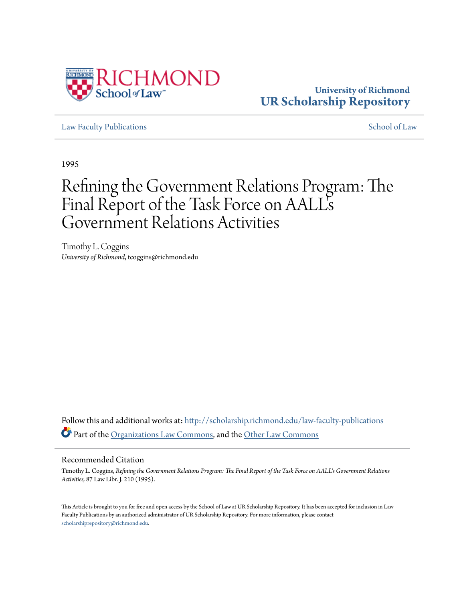

# **University of Richmond [UR Scholarship Repository](http://scholarship.richmond.edu?utm_source=scholarship.richmond.edu%2Flaw-faculty-publications%2F958&utm_medium=PDF&utm_campaign=PDFCoverPages)**

[Law Faculty Publications](http://scholarship.richmond.edu/law-faculty-publications?utm_source=scholarship.richmond.edu%2Flaw-faculty-publications%2F958&utm_medium=PDF&utm_campaign=PDFCoverPages) [School of Law](http://scholarship.richmond.edu/law?utm_source=scholarship.richmond.edu%2Flaw-faculty-publications%2F958&utm_medium=PDF&utm_campaign=PDFCoverPages)

1995

# Refining the Government Relations Program: The Final Report of the Task Force on AALL' s Government Relations Activities

Timothy L. Coggins *University of Richmond*, tcoggins@richmond.edu

Follow this and additional works at: [http://scholarship.richmond.edu/law-faculty-publications](http://scholarship.richmond.edu/law-faculty-publications?utm_source=scholarship.richmond.edu%2Flaw-faculty-publications%2F958&utm_medium=PDF&utm_campaign=PDFCoverPages) Part of the [Organizations Law Commons,](http://network.bepress.com/hgg/discipline/865?utm_source=scholarship.richmond.edu%2Flaw-faculty-publications%2F958&utm_medium=PDF&utm_campaign=PDFCoverPages) and the [Other Law Commons](http://network.bepress.com/hgg/discipline/621?utm_source=scholarship.richmond.edu%2Flaw-faculty-publications%2F958&utm_medium=PDF&utm_campaign=PDFCoverPages)

#### Recommended Citation

Timothy L. Coggins, *Refining the Government Relations Program: The Final Report of the Task Force on AALL's Government Relations Activities,* 87 Law Libr. J. 210 (1995).

This Article is brought to you for free and open access by the School of Law at UR Scholarship Repository. It has been accepted for inclusion in Law Faculty Publications by an authorized administrator of UR Scholarship Repository. For more information, please contact [scholarshiprepository@richmond.edu.](mailto:scholarshiprepository@richmond.edu)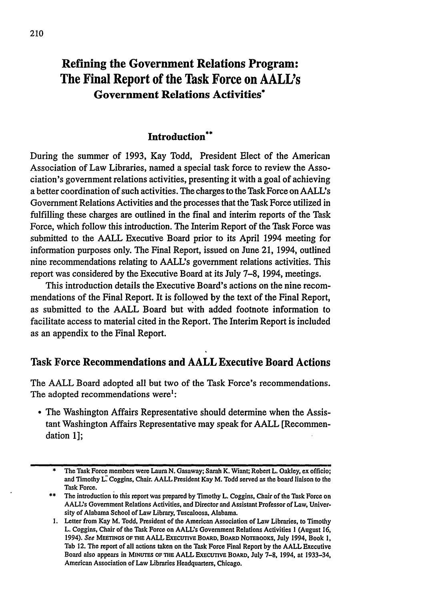# Refining the Government Relations Program: The Final Report of the Task Force on AALL's **Government Relations Activities\***

# **Introduction\*\***

During the summer of **1993,** Kay Todd, President Elect of the American Association of Law Libraries, named a special task force to review the Association's government relations activities, presenting it with a goal of achieving a better coordination of such activities. The charges to the Task Force on AALL's Government Relations Activities and the processes that the Task Force utilized in fulfilling these charges are outlined in the final and interim reports of the Task Force, which follow this introduction. The Interim Report of the Task Force was submitted to the **AALL** Executive Board prior to its April 1994 meeting for information purposes only. The Final Report, issued on June 21, 1994, outlined nine recommendations relating to AALL's government relations activities. This report was considered **by** the Executive Board at its July **7-8,** 1994, meetings.

This introduction details the Executive Board's actions on the nine recommendations of the Final Report. It is followed **by** the text of the Final Report, as submitted to the **AALL** Board but with added footnote information to facilitate access to material cited in the Report. The Interim Report is included as an appendix to the Final Report.

# **Task Force Recommendations and AALL Executive Board Actions**

The **AALL** Board adopted all but two of the Task Force's recommendations. The adopted recommendations were':

The Washington Affairs Representative should determine when the Assistant Washington Affairs Representative may speak for **AALL** [Recommendation **1];**

<sup>\*</sup> The Task Force members were Laura **N.** Gasaway; Sarah K. Wiant; Robert L. Oakley, ex officio; and Timothy L. Coggins, Chair. AALL President Kay M. Todd served as the board liaison to the Task Force.

<sup>\*\*</sup> The introduction to this report was prepared **by** Timothy L. Coggins, Chair of the Task Force on AALL's Government Relations Activities, and Director and Assistant Professor of Law, University of Alabama School of Law Library, Tuscaloosa, Alabama.

**<sup>1.</sup>** Letter from Kay M. Todd, President of the American Association of Law Libraries, to Timothy L. Coggins, Chair of the Task Force on AALL's Government Relations Activities 1 (August **16,** *1994).* See **MEETINGS OF THE AALL EXECuTIVE BOARD. BOARD** NOTEBOOKs, **July** 1994, Book **1,** Tab 12. The report of all actions taken on the Task Force Final Report **by** the **AALL** Executive Board also appears in MINUTES OF THE AALL EXECUTIVE BOARD, July 7-8, 1994, at 1933-34, American Association of Law Libraries Headquarters, Chicago.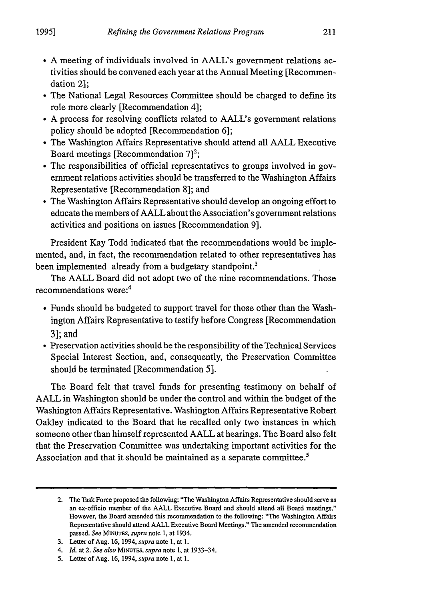- \* **A** meeting of individuals involved in AALL's government relations activities should be convened each year at the Annual Meeting [Recommendation 2];
- \* The National Legal Resources Committee should be charged to define its role more clearly [Recommendation 4];
- \* **A** process for resolving conflicts related to AALL's government relations policy should be adopted [Recommendation **6];**
- \* The Washington Affairs Representative should attend all **AALL** Executive Board meetings [Recommendation **7]2;**
- \* The responsibilities of official representatives to groups involved in government relations activities should be transferred to the Washington Affairs Representative [Recommendation **8];** and
- The Washington Affairs Representative should develop an ongoing effort to educate the members of **AALL** about the Association's government relations activities and positions on issues [Recommendation **9].**

President Kay Todd indicated that the recommendations would be implemented, and, in fact, the recommendation related to other representatives has been implemented already from a budgetary standpoint.<sup>3</sup>

The **AALL** Board did not adopt two of the nine recommendations. Those recommendations were: <sup>4</sup>

- \* Funds should be budgeted to support travel for those other than the Washington Affairs Representative to testify before Congress [Recommendation **3];** and
- \* Preservation activities should be the responsibility of the Technical Services Special Interest Section, and, consequently, the Preservation Committee should be terminated [Recommendation **5].**

The Board felt that travel funds for presenting testimony on behalf of **AALL** in Washington should be under the control and within the budget of the Washington Affairs Representative. Washington Affairs Representative Robert Oakley indicated to the Board that he recalled only two instances in which someone other than himself represented **AALL** at hearings. The Board also felt that the Preservation Committee was undertaking important activities for the Association and that it should be maintained as a separate committee.<sup>5</sup>

<sup>2.</sup> The Task Force proposed the following: "The Washington Affairs Representative should serve as an ex-officio member of the **AALL** Executive Board and should attend all Board meetings." However, the Board amended this recommendation to the following: "The Washington Affairs Representative should attend **AALL** Executive Board Meetings." The amended recommendation passed. *See MINUTES, supra* note **1,** at 1934.

**<sup>3.</sup>** Letter of Aug. **16,** 1994, *supra* note **1,** at **1.**

<sup>4.</sup> *Id.* at 2. *See also MINUTES. supra* note **1,** at **1933-34.**

**<sup>5.</sup>** Letter of Aug. **16,** 1994, *supra* note **1,** at **1.**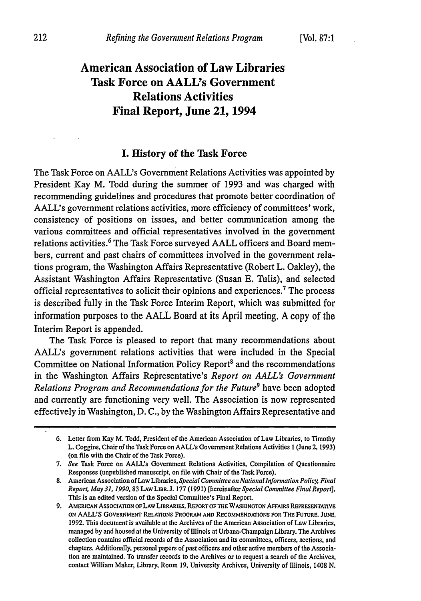# **American Association of Law Libraries Task Force on AALL's Government Relations Activities Final Report, June 21, 1994**

# **I. History of the Task Force**

The Task Force on AALL's Government Relations Activities was appointed **by** President Kay M. Todd during the summer of **1993** and was charged with recommending guidelines and procedures that promote better coordination of AALL's government relations activities, more efficiency of committees' work, consistency of positions on issues, and better communication among the various committees and official representatives involved in the government relations activities.' The Task Force surveyed **AALL** officers and Board members, current and past chairs of committees involved in the government relations program, the Washington Affairs Representative (Robert L. Oakley), the Assistant Washington Affairs Representative (Susan **E.** Tulis), and selected official representatives to solicit their opinions and experiences.' The process is described fully in the Task Force Interim Report, which was submitted for information purposes to the **AALL** Board at its April meeting. **A** copy of the Interim Report is appended.

The Task Force is pleased to report that many recommendations about AALL's government relations activities that were included in the Special Committee on National Information Policy Report<sup>8</sup> and the recommendations in the Washington Affairs Representative's *Report on AALL's Government Relations Program and Recommendations for the Future'* have been adopted and currently are functioning very well. The Association is now represented effectively in Washington, **D. C., by** the Washington Affairs Representative and

**<sup>6.</sup>** Letter from Kay M. Todd, President of the American Association of Law Libraries, to Timothy L. Coggins, Chair of the Task Force on AALL's Government Relations Activities 1 (June **2, 1993)** (on file with the Chair of the Task Force).

**<sup>7.</sup>** *See* Task Force on AALL's Government Relations Activities, Compilation of Questionnaire Responses (unpublished manuscript, on file with Chair of the Task Force).

**<sup>8.</sup>** American Association of Law Libraries, *Special Committee on National Information Policy, Final Report, May31, 1990, 83* **LAw LIBR. J. 177 (1991)** [hereinafter *Special Committee Final Report].* This is an edited version of the Special Committee's Final Report.

**<sup>9.</sup>** AMERICAN AssocIATION OFLAW LIBRARIES. REPORTOF **THE** WASHINGTON AFFAIRS REPRESENTATIVE *oN* **AALL'S GOVERNMENT RELATIONS PROGRAM AND RECOMMENDATIONS FOR** THE FUTURE, **JUNE, 1992.** This document is available at the Archives of the American Association of Law Libraries, managed **by** and housed at the University of Illinois at Urbana-Champaign Library. The Archives collection contains official records of the Association and its committees, officers, sections, and chapters. Additionally, personal papers of past officers and other active members of the Association are maintained. To transfer records to the Archives or to request a search of the Archives, contact William Maher, Library, Room **19,** University Archives, University of Illinois, 1408 **N.**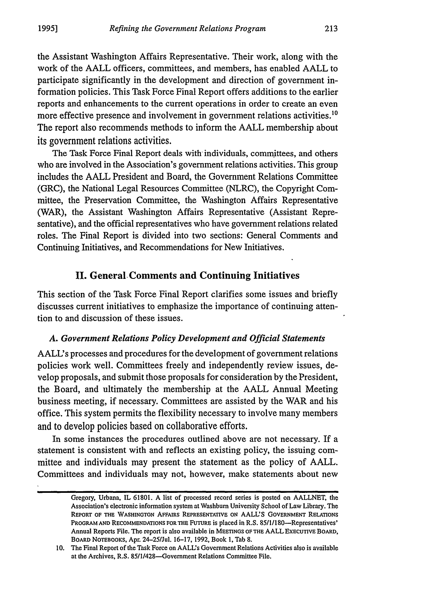the Assistant Washington Affairs Representative. Their work, along with the work of the **AALL** officers, committees, and members, has enabled **AALL** to participate significantly in the development and direction of government information policies. This Task Force Final Report offers additions to the earlier reports and enhancements to the current operations in order to create an even more effective presence and involvement in government relations activities.<sup>10</sup> The report also recommends methods to inform the **AALL** membership about its government relations activities.

The Task Force Final Report deals with individuals, committees, and others who are involved in the Association's government relations activities. This group includes the **AALL** President and Board, the Government Relations Committee (GRC), the National Legal Resources Committee (NLRC), the Copyright Committee, the Preservation Committee, the Washington Affairs Representative (WAR), the Assistant Washington Affairs Representative (Assistant Representative), and the official representatives who have government relations related roles. The Final Report is divided into two sections: General Comments and Continuing Initiatives, and Recommendations for New Initiatives.

# **II. General, Comments and Continuing Initiatives**

This section of the Task Force Final Report clarifies some issues and briefly discusses current initiatives to emphasize the importance of continuing attention to and discussion of these issues.

#### *A. Government Relations Policy Development and Official Statements*

AALL's processes and procedures for the development of government relations policies work well. Committees freely and independently review issues, develop proposals, and submit those proposals for consideration **by** the President, the Board, and ultimately the membership at the **AALL** Annual Meeting business meeting, if necessary. Committees are assisted **by** the WAR and his office. This system permits the flexibility necessary to involve many members and to develop policies based on collaborative efforts.

In some instances the procedures outlined above are not necessary. If a statement is consistent with and reflects an existing policy, the issuing committee and individuals may present the statement as the policy of **AALL.** Committees and individuals may not, however, make statements about new

Gregory, Urbana, IL **61801. A** list of processed record series is posted on **AALLNET,** the Association's electronic information system at Washburn University School of Law Library. The **REPORT OF THE WASHINGTON AFFAIRS REPRESENTATIVE ON AALL'S GOVERNMENT RELATIONS** PROGRAM AND RECOMMENDATIONS FOR THE FUTURE is placed in R.S. 85/1/180-Representatives' Annual Reports File. The report is also available in **MEETINGS OF THE AALL EXECUTIVE BOARD, BOARD NOTEBOOKS,** Apr. **24-25/Jul. 16-17, 1992,** Book **1,** Tab **8.**

**<sup>10.</sup>** The Final Report of the Task Force on AALL's Government Relations Activities also is available at the Archives, R.S. 85/1/428-Government Relations Committee File.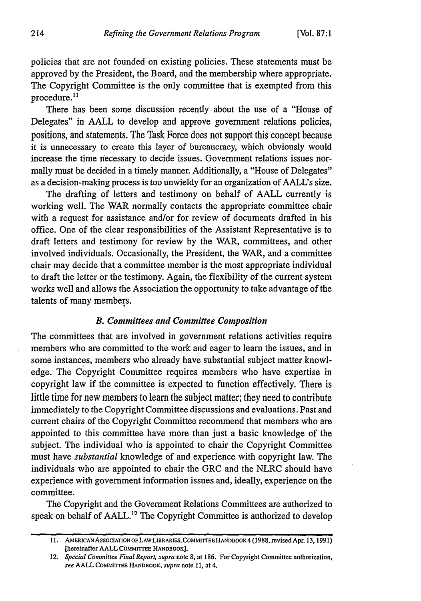policies that are not founded on existing policies. These statements must be approved **by** the President, the Board, and the membership where appropriate. The Copyright Committee is the only committee that is exempted from this procedure.<sup>11</sup>

There has been some discussion recently about the use of a "House of Delegates" in **AALL** to develop and approve government relations policies, positions, and statements. The Task Force does not support this concept because it is unnecessary to create this layer of bureaucracy, which obviously would increase the time necessary to decide issues. Government relations issues normally must be decided in a timely manner. Additionally, a "House of Delegates" as a decision-making process is too unwieldy for an organization of AALL's size.

The drafting of letters and testimony on behalf of **AALL** currently is working well. The WAR normally contacts the appropriate committee chair with a request for assistance and/or for review of documents drafted in his office. One of the clear responsibilities of the Assistant Representative is to draft letters and testimony for review **by** the WAR, committees, and other involved individuals. Occasionally, the President, the WAR, and a committee chair may decide that a committee member is the most appropriate individual to draft the letter or the testimony. Again, the flexibility of the current system works well and allows the Association the opportunity to take advantage of the talents of many members.

#### *B. Committees and Committee Composition*

The committees that are involved in government relations activities require members who are committed to the work and eager to learn the issues, and in some instances, members who already have substantial subject matter knowledge. The Copyright Committee requires members who have expertise in copyright law if the committee is expected to function effectively. There is little time for new members to learn the subject matter; they need to contribute immediately to the Copyright Committee discussions and evaluations. Past and current chairs of the Copyright Committee recommend that members who are appointed to this committee have more than just a basic knowledge of the subject. The individual who is appointed to chair the Copyright Committee must have *substantial* knowledge of and experience with copyright law. The individuals who are appointed to chair the GRC and the NLRC should have experience with government information issues and, ideally, experience on the committee.

The Copyright and the Government Relations Committees are authorized to speak on behalf of AALL.<sup>12</sup> The Copyright Committee is authorized to develop

<sup>11.</sup> AMERICAN ASSOCIATION OF LAW LIBRARIES, COMMITTEE HANDBOOK 4 (1988, revised Apr. 13, 1991) **[hereinafter AALL CoMmiTEE HANDBOOK].**

*<sup>12.</sup> Special Committee Final Report, supra* **note 8,** at **186.** For Copyright Committee authorization, *see* **AALL COMMITTEE HANDBOOK,** *supra* **note 11,** at 4.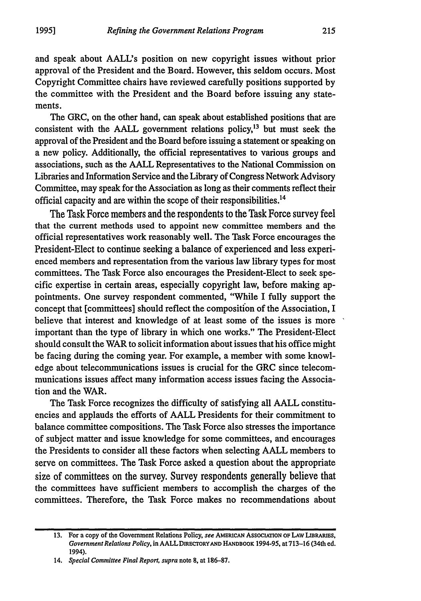and speak about AALI's position on new copyright issues without prior approval of the President and the Board. However, this seldom occurs. Most Copyright Committee chairs have reviewed carefully positions supported **by** the committee with the President and the Board before issuing any statements.

The GRC, on the other hand, can speak about established positions that are consistent with the  $AALL$  government relations policy,<sup>13</sup> but must seek the approval of the President and the Board before issuing a statement or speaking on a new policy. Additionally, the official representatives to various groups and associations, such as the **AALL** Representatives to the National Commission on Libraries and Information Service and the Library of Congress Network Advisory Committee, may speak for the Association as long as their comments reflect their official capacity and are within the scope of their responsibilities.14

The Task Force members and the respondents to the Task Force survey feel that the current methods used to appoint new committee members and the official representatives work reasonably well. The Task Force encourages the President-Elect to continue seeking a balance of experienced and less experienced members and representation from the various law library types for most committees. The Task Force also encourages the President-Elect to seek specific expertise in certain areas, especially copyright law, before making appointments. One survey respondent commented, "While I fully support the concept that [committees] should reflect the composition of the Association, I believe that interest and knowledge of at least some of the issues is more important than the type of library in which one works." The President-Elect should consult the WAR to solicit information about issues that his office might be facing during the coming year. For example, a member with some knowledge about telecommunications issues is crucial for the GRC since telecommunications issues affect many information access issues facing the Association and the WAR.

The Task Force recognizes the difficulty of satisfying all **AALL** constituencies and applauds the efforts of **AALL** Presidents for their commitment to balance committee compositions. The Task Force also stresses the importance of subject matter and issue knowledge for some committees, and encourages the Presidents to consider all these factors when selecting **AALL** members to serve on committees. The Task Force asked a question about the appropriate size of committees on the survey. Survey respondents generally believe that the committees have sufficient members to accomplish the charges of the committees. Therefore, the Task Force makes no recommendations about

**<sup>13.</sup>** For a copy of the Government Relations Policy, *see* **AMERICAN AssOCIATION OF LAW LIBRARIES,** *Government Relations Policy,* in AALLDIRECToRYAND **HANDBOOK 1994-95, at713-16** (34th ed. 1994).

*<sup>14.</sup> Special Committee Final Report, supra* note **8,** at **186-87.**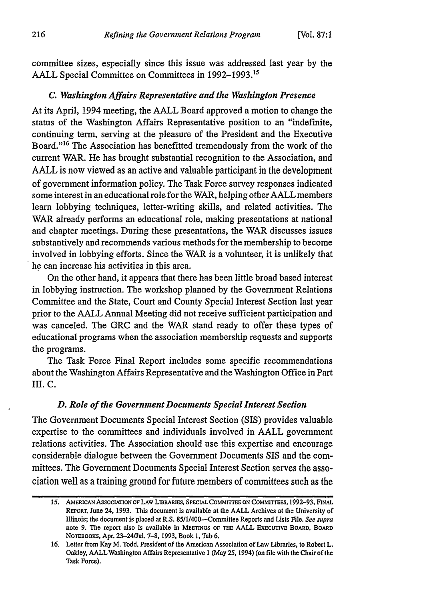committee sizes, especially since this issue was addressed last year **by** the **AALL** Special Committee on Committees in **1992-1993.1s**

#### *C. Washington Affairs Representative and the Washington Presence*

At its April, 1994 meeting, the **AALL** Board approved a motion to change the status of the Washington Affairs Representative position to an "indefinite, continuing term, serving at the pleasure of the President and the Executive Board."<sup>16</sup> The Association has benefitted tremendously from the work of the current WAR. He has brought substantial recognition to the Association, and **AALL** is now viewed as an active and valuable participant in the development of government information policy. The Task Force survey responses indicated some interest in an educational role for the WAR, helping other **AALL** members learn lobbying techniques, letter-writing skills, and related activities. The WAR already performs an educational role, making presentations at national and chapter meetings. During these presentations, the WAR discusses issues substantively and recommends various methods for the membership to become involved in lobbying efforts. Since the WAR is a volunteer, it is unlikely that he can increase his activities in this area.

On the other hand, it appears that there has been little broad based interest in lobbying instruction. The workshop planned **by** the Government Relations Committee and the State, Court and County Special Interest Section last year prior to the **AALL** Annual Meeting did not receive sufficient participation and was canceled. The GRC and the WAR stand ready to offer these types of educational programs when the association membership requests and supports the programs.

The Task Force Final Report includes some specific recommendations about the Washington Affairs Representative and the Washington Office in Part **III. C.**

#### *D. Role of the Government Documents Special Interest Section*

The Government Documents Special Interest Section (SIS) provides valuable expertise to the committees and individuals involved in **AALL** government relations activities. The Association should use this expertise and encourage considerable dialogue between the Government Documents SIS and the committees. The Government Documents Special Interest Section serves the association well as a training ground for future members of committees such as the

*<sup>15.</sup>* **AMERICAN AsSOCIATION oF LAw LIBRARIES, SPECIALCOMMITTEE ON COMMrEES, 1992-93,** FINAL **REPORT, June** 24, **1993.** This document is available at the **AALL** Archives at the University of Illinois; the document is placed at R.S. *85/1/400--Committee* Reports and Lists File. *See supra* note **9.** The report also is available in **MEETINGS OF THE AALL** EXECuTivE **BOARD,** BOARD **NOTEBOOKs,** Apr. 23-24/Jul. **7-8, 1993,** Book **1,** Tab **6.**

**<sup>16.</sup>** Letter from Kay M. Todd, President of the American Association of Law Libraries, to Robert L. Oakley, **AALL** Washington Affairs Representative **I** (May **25,** 1994) (on file with the Chair of the Task Force).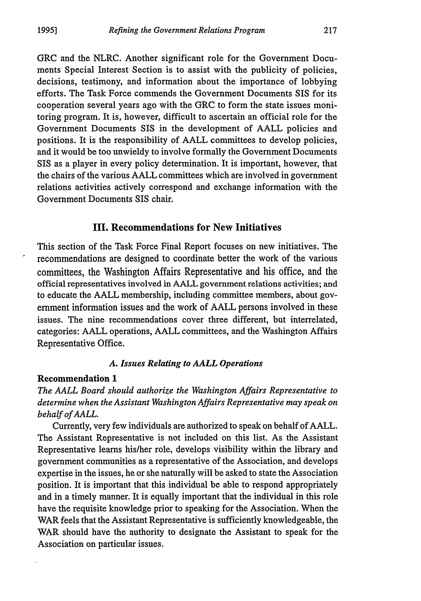GRC and the NLRC. Another significant role for the Government Documents Special Interest Section is to assist with the publicity of policies, decisions, testimony, and information about the importance of lobbying efforts. The Task Force commends the Government Documents SIS for its cooperation several years ago with the GRC to form the state issues monitoring program. It is, however, difficult to ascertain an official role for the Government Documents SIS in the development of **AALL** policies and positions. It is the responsibility of **AALL** committees to develop policies, and it would be too unwieldy to involve formally the Government Documents SIS as a player in every policy determination. It is important, however, that the chairs of the various **AALL** committees which are involved in government relations activities actively correspond and exchange information with the Government Documents SIS chair.

#### **III. Recommendations for New Initiatives**

This section of the Task Force Final Report focuses on new initiatives. The recommendations are designed to coordinate better the work of the various committees, the Washington Affairs Representative and his office, and the official representatives involved in **AALL** government relations activities; and to educate the **AALL** membership, including committee members, about government information issues and the work of **AALL** persons involved in these issues. The nine recommendations cover three different, but interrelated, categories: **AALL** operations, **AALL** committees, and the Washington Affairs Representative Office.

#### *A. Issues Relating to AALL Operations*

#### **Recommendation 1**

*The AALL Board should authorize the Washington Affairs Representative to determine when the Assistant Washington Affairs Representative may speak on behalf of AALL.*

Currently, very few individuals are authorized to speak on behalf of **AALL.** The Assistant Representative is not included on this list. As the Assistant Representative learns his/her role, develops visibility within the library and government communities as a representative of the Association, and develops expertise in the issues, he or she naturally will be asked to state the Association position. It is important that this individual be able to respond appropriately and in a timely manner. It is equally important that the individual in this role have the requisite knowledge prior to speaking for the Association. When the WAR feels that the Assistant Representative is sufficiently knowledgeable, the WAR should have the authority to designate the Assistant to speak for the Association on particular issues.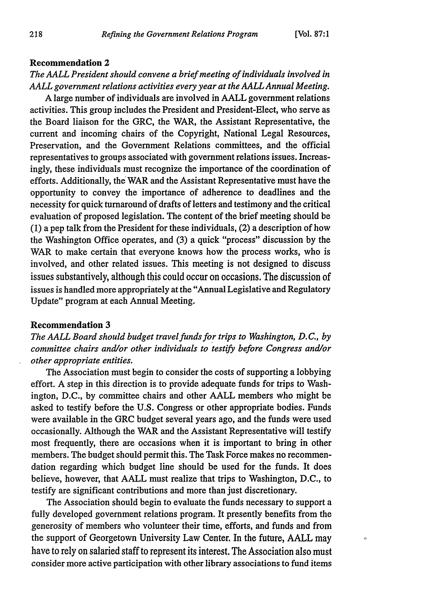$\sigma$ 

#### **Recommendation 2**

# *The AALL President should convene a brief meeting of individuals involved in AALL government relations activities every year at the AALL Annual Meeting.*

**A** large number of individuals are involved in **AALL** government relations activities. This group includes the President and President-Elect, who serve as the Board liaison for the GRC, the WAR, the Assistant Representative, the current and incoming chairs of the Copyright, National Legal Resources, Preservation, and the Government Relations committees, and the official representatives to groups associated with government relations issues. Increasingly, these individuals must recognize the importance of the coordination of efforts. Additionally, the WAR and the Assistant Representative must have the opportunity to convey the importance of adherence to deadlines and the necessity for quick turnaround of drafts of letters and testimony and the critical evaluation of proposed legislation. The content of the brief meeting should be **(1)** a pep talk from the President for these individuals, (2) a description of how the Washington Office operates, and **(3)** a quick "process" discussion **by** the WAR to make certain that everyone knows how the process works, who is involved, and other related issues. This meeting is not designed to discuss issues substantively, although this could occur on occasions. The discussion of issues is handled more appropriately at the "Annual Legislative and Regulatory Update" program at each Annual Meeting.

#### Recommendation **3**

*The AALL Board should budget travel funds for trips to Washington, D.C., by committee chairs and/or other individuals to testify before Congress and/or other appropriate entities.*

The Association must begin to consider the costs of supporting a lobbying effort. **A** step in this direction is to provide adequate funds for trips to Washington, **D.C., by** committee chairs and other **AALL** members who might be asked to testify before the **U.S.** Congress or other appropriate bodies. Funds were available in the GRC budget several years ago, and the funds were used occasionally. Although the WAR and the Assistant Representative will testify most frequently, there are occasions when it is important to bring in other members. The budget should permit this. The Task Force makes no recommendation regarding which budget line should be used for the funds. It does believe, however, that **AALL** must realize that trips to Washington, **D.C.,** to testify are significant contributions and more than just discretionary.

The Association should begin to evaluate the funds necessary to support a fully developed government relations program. It presently benefits from the generosity of members who volunteer their time, efforts, and funds and from the support of Georgetown University Law Center. In the future, **AALL** may have to rely on salaried staff to represent its interest. The Association also must consider more active participation with other library associations to fund items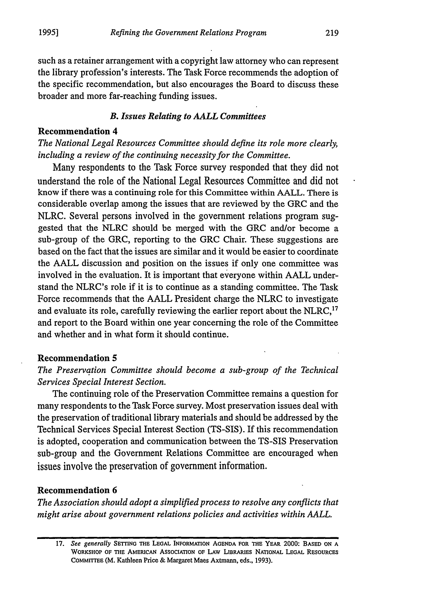such as a retainer arrangement with a copyright law attorney who can represent the library profession's interests. The Task Force recommends the adoption of the specific recommendation, but also encourages the Board to discuss these broader and more far-reaching funding issues.

#### *B. Issues Relating to AALL Committees*

#### **Recommendation 4**

*The National Legal Resources Committee should define its role more clearly, including a review of the continuing necessity for the Committee.*

Many respondents to the Task Force survey responded that they did not understand the role of the National Legal Resources Committee and did not know if there was a continuing role for this Committee within **AALL.** There is considerable overlap among the issues that are reviewed **by** the GRC and the NLRC. Several persons involved in the government relations program suggested that the NLRC should be merged with the GRC and/or become a sub-group of the GRC, reporting to the GRC Chair. These suggestions are based on the fact that the issues are similar and it would **be** easier to coordinate the **AALL** discussion and position on the issues if only one committee was involved in the evaluation. It is important that everyone within **AALL** understand the NLRC's role if it is to continue as a standing committee. The Task Force recommends that the **AALL** President charge the NLRC to investigate and evaluate its role, carefully reviewing the earlier report about the NLRC,<sup>17</sup> and report to the Board within one year concerning the role of the Committee and whether and in what form it should continue.

# **Recommendation** *5*

*The Preservation Committee should become a sub-group of the Technical Services Special Interest Section.*

The continuing role of the Preservation Committee remains a question for many respondents to the Task Force survey. Most preservation issues deal with the preservation of traditional library materials and should be addressed **by** the Technical Services Special Interest Section **(TS-SIS).** If this recommendation is adopted, cooperation and communication between the TS-SIS Preservation sub-group and the Government Relations Committee are encouraged when issues involve the preservation of government information.

# **Recommendation 6**

*The Association should adopt a simplified process to resolve any conflicts that might arise about government relations policies and activities within AALL.*

*<sup>17.</sup> See generally* **SETTING THE LEGAL INFORMATION AGENDA FOR THE YEAR 2000: BASED ON A WORKSHOP OF THE AMERICAN AsSOCIATION OF LAW LIBRARIES NATIONAL LEGAL RESOURCES CoMMIrrEE (M. Kathleen Price & Margaret Maes Axtmann, eds., 1993).**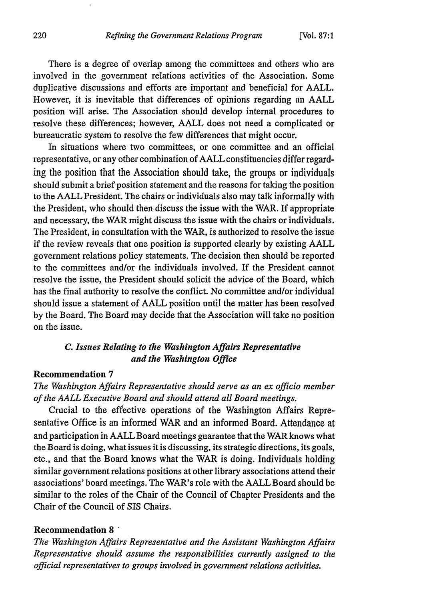There is a degree of overlap among the committees and others who are involved in the government relations activities of the Association. Some duplicative discussions and efforts are important and beneficial for **AALL.** However, it is inevitable that differences of opinions regarding an **AALL** position will arise. The Association should develop internal procedures to resolve these differences; however, **AALL** does not need a complicated or bureaucratic system to resolve the few differences that might occur.

In situations where two committees, or one committee and an official representative, or any other combination of **AALL** constituencies differ regarding the position that the Association should take, the groups or individuals should submit a brief position statement and the reasons for taking the position to the **AALL** President. The chairs or individuals also may talk informally with the President, who should then discuss the issue with the WAR. If appropriate and necessary, the WAR might discuss the issue with the chairs or individuals. The President, in consultation with the WAR, is authorized to resolve the issue if the review reveals that one position is supported clearly **by** existing **AALL** government relations policy statements. The decision then should be reported to the committees and/or the individuals involved. If the President cannot resolve the issue, the President should solicit the advice of the Board, which has the final authority to resolve the conflict. No committee and/or individual should issue a statement of **AALL** position until the matter has been resolved **by** the Board. The Board may decide that the Association will take no position on the issue.

# *C. Issues Relating to the Washington Affairs Representative and the Washington Office*

## **Recommendation 7**

*The Washington Affairs Representative should serve as an ex officio member of the AALL Executive Board and should attend all Board meetings.*

Crucial to the effective operations of the Washington Affairs Representative Office is an informed WAR and an informed Board. Attendance at and participation in **AALL** Board meetings guarantee that the WAR knows what the Board is doing, what issues it is discussing, its strategic directions, its goals, etc., and that the Board knows what the WAR is doing. Individuals holding similar government relations positions at other library associations attend their associations' board meetings. The WAR's role with the **AALL** Board should **be** similar to the roles of the Chair of the Council of Chapter Presidents and the Chair of the Council of SIS Chairs.

#### Recommendation **8 '**

*The Washington Affairs Representative and the Assistant Washington Affairs Representative should assume the responsibilities currently assigned to the official representatives to groups involved in government relations activities.*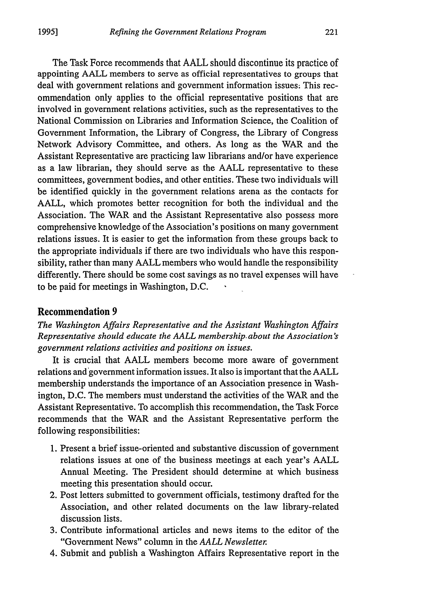The Task Force recommends that **AALL** should discontinue its practice of appointing **AALL** members to serve as official representatives to groups that deal with government relations and government information issues: This recommendation only applies to the official representative positions that are involved in government relations activities, such as the representatives to the National Commission on Libraries and Information Science, the Coalition of Government Information, the Library of Congress, the Library of Congress Network Advisory Committee, and others. As long as the WAR and the Assistant Representative are practicing law librarians and/or have experience as a law librarian, they should serve as the **AALL** representative to these committees, government bodies, and other entities. These two individuals will be identified quickly in the government relations arena as the contacts for **AALL,** which promotes better recognition for both the individual and the Association. The WAR and the Assistant Representative also possess more comprehensive knowledge of the Association's positions on many government relations issues. It is easier to get the information from these groups back to the appropriate individuals if there are two individuals who have this responsibility, rather than many **AALL** members who would handle the responsibility differently. There should be some cost savings as no travel expenses will have to be paid for meetings in Washington, **D.C.**

#### **Recommendation 9**

*The Washington Affairs Representative and the Assistant Washington Affairs Representative should educate the AALL membership.about the Association's government relations activities and positions on issues.*

It is crucial that **AALL** members become more aware of government relations and government information issues. It also is important that the **AALL** membership understands the importance of an Association presence in Washington, **D.C.** The members must understand the activities of the WAR and the Assistant Representative. To accomplish this recommendation, the Task Force recommends that the WAR and the Assistant Representative perform the following responsibilities:

- **1.** Present a brief issue-oriented and substantive discussion of government relations issues at one of the business meetings at each year's **AALL** Annual Meeting. The President should determine at which business meeting this presentation should occur.
- 2. Post letters submitted to government officials, testimony drafted for the Association, and other related documents on the law library-related discussion lists.
- **3.** Contribute informational articles and news items to the editor of the "Government News" column in the *AALL Newsletter.*
- 4. Submit and publish a Washington Affairs Representative report in the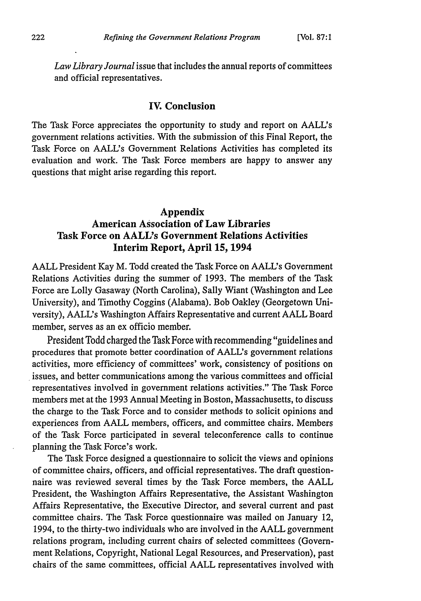*Law Library Journal* issue that includes the annual reports of committees and official representatives.

## **IV. Conclusion**

The Task Force appreciates the opportunity to study and report on AALL's government relations activities. With the submission of this Final Report, the Task Force on AALL's Government Relations Activities has completed its evaluation and work. The Task Force members are happy to answer any questions that might arise regarding this report.

# **Appendix American Association of Law Libraries Task Force on AALL's Government Relations Activities Interim Report, April 15, 1994**

**AALL President Kay M. Todd** created the Task Force on AALL's Government Relations Activities during the summer of **1993.** The members of the Task Force are Lolly Gasaway (North Carolina), Sally Wiant (Washington and Lee University), and Timothy Coggins (Alabama). Bob Oakley (Georgetown University), AALL's Washington Affairs Representative and current **AALL** Board member, serves as an ex officio member.

President Todd charged the Task Force with recommending "guidelines and procedures that promote better coordination of AALL's government relations activities, more efficiency of committees' work, consistency of positions on issues, and better communications among the various committees and official representatives involved in government relations activities." The Task Force members met at the **1993** Annual Meeting in Boston, Massachusetts, to discuss the charge to the Task Force and to consider methods to solicit opinions and experiences from **AALL** members, officers, and committee chairs. Members of the Task Force participated in several teleconference calls to continue planning the Task Force's work.

The Task Force designed a questionnaire to solicit the views and opinions of committee chairs, officers, and official representatives. The draft questionnaire was reviewed several times **by** the Task Force members, the **AALL** President, the Washington Affairs Representative, the Assistant Washington Affairs Representative, the Executive Director, and several current and past committee chairs. The Task Force questionnaire was mailed on January 12, 1994, to the thirty-two individuals who are involved in the **AALL** government relations program, including current chairs of selected committees (Government Relations, Copyright, National Legal Resources, and Preservation), past chairs of the same committees, official **AALL** representatives involved with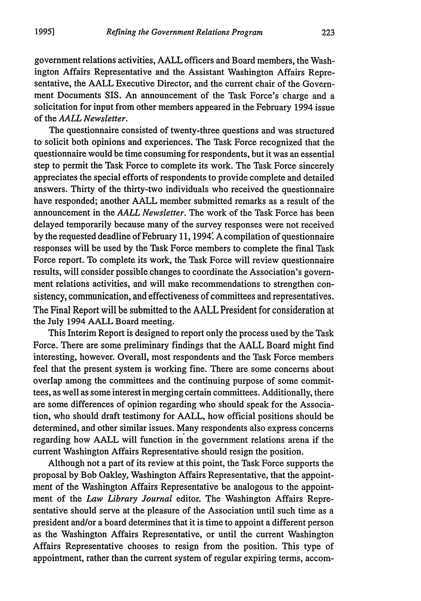government relations activities, **AALL** officers and Board members, the Washington Affairs Representative and the Assistant Washington Affairs Representative, the **AALL** Executive Director, and the current chair of the Government Documents SIS. An announcement of the Task Force's charge and a solicitation for input from other members appeared in the February 1994 issue of the *AALL Newsletter.*

The questionnaire consisted of twenty-three questions and was structured to solicit both opinions and experiences. The Task Force recognized that the questionnaire would be time consuming for respondents, but it was an essential step to permit the Task Force to complete its work. The Task Force sincerely appreciates the special efforts of respondents to provide complete and detailed answers. Thirty of the thirty-two individuals who received the questionnaire have responded; another **AALL** member submitted remarks as a result of the announcement in the *AALL Newsletter.* The work of the Task Force has been delayed temporarily because many of the survey responses were not received **by** the requested deadline of February **11,** 1994 **A** compilation of questionnaire responses will be used **by** the Task Force members to complete the final Task Force report. To complete its work, the Task Force will review questionnaire results, will consider possible changes to coordinate the Association's government relations activities, and will make recommendations to strengthen consistency, communication, and effectiveness of committees and representatives. The Final Report will be submitted to the **AALL** President for consideration at the July 1994 **AALL** Board meeting.

This Interim Report is designed to report only the process used **by** the Task Force. There are some preliminary findings that the **AALL** Board might find interesting, however. Overall, most respondents and the Task Force members feel that the present system is working fine. There are some concerns about overlap among the committees and the continuing purpose of some committees, as well as some interest in merging certain committees. Additionally, there are some differences of opinion regarding who should speak for the Association, who should draft testimony for **AALL,** how official positions should be determined, and other similar issues. Many respondents also express concerns regarding how **AALL** will function in the government relations arena if the current Washington Affairs Representative should resign the position.

Although not a part of its review at this point, the Task Force supports the proposal **by** Bob Oakley, Washington Affairs Representative, that the appointment of the Washington Affairs Representative be analogous to the appointment of the *Law Library Journal* editor. The Washington Affairs Representative should serve at the pleasure of the Association until such time as a president and/or a board determines that it is time to appoint a different person as the Washington Affairs Representative, or until the current Washington Affairs Representative chooses to resign from the position. This type of appointment, rather than the current system of regular expiring terms, accom